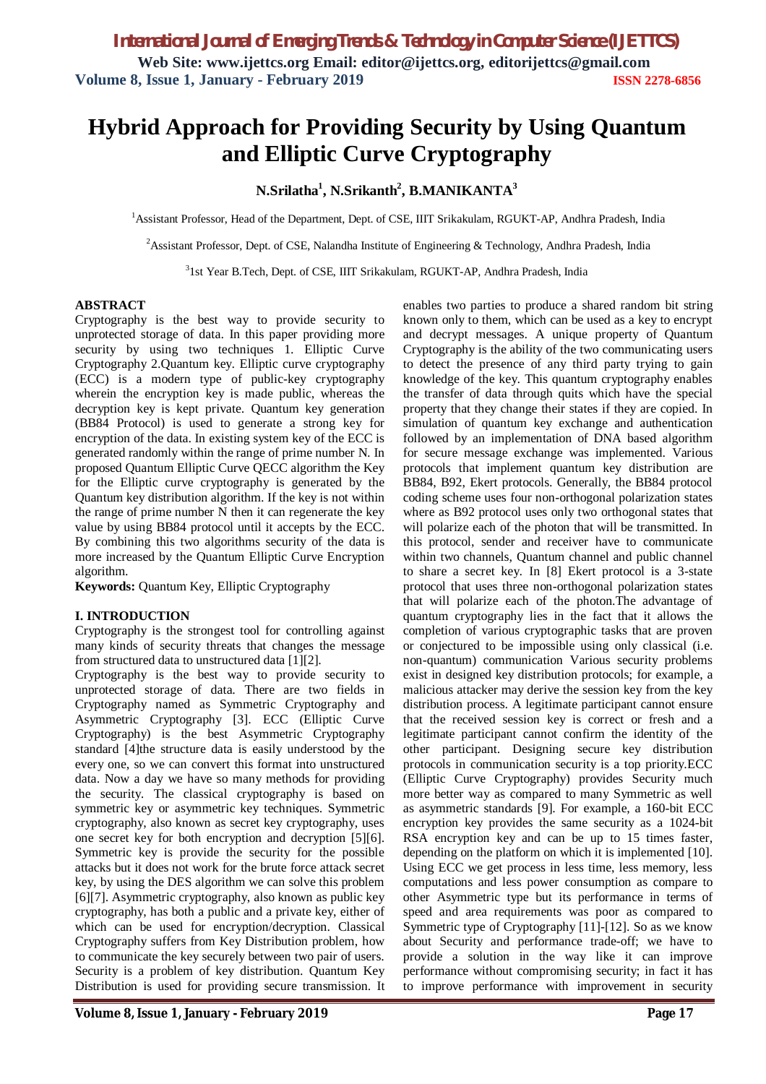# **Hybrid Approach for Providing Security by Using Quantum and Elliptic Curve Cryptography**

### **N.Srilatha<sup>1</sup> , N.Srikanth<sup>2</sup> , B.MANIKANTA<sup>3</sup>**

<sup>1</sup>Assistant Professor, Head of the Department, Dept. of CSE, IIIT Srikakulam, RGUKT-AP, Andhra Pradesh, India

<sup>2</sup>Assistant Professor, Dept. of CSE, Nalandha Institute of Engineering & Technology, Andhra Pradesh, India

3 1st Year B.Tech, Dept. of CSE, IIIT Srikakulam, RGUKT-AP, Andhra Pradesh, India

#### **ABSTRACT**

Cryptography is the best way to provide security to unprotected storage of data. In this paper providing more security by using two techniques 1. Elliptic Curve Cryptography 2.Quantum key. Elliptic curve cryptography (ECC) is a modern type of public-key cryptography wherein the encryption key is made public, whereas the decryption key is kept private. Quantum key generation (BB84 Protocol) is used to generate a strong key for encryption of the data. In existing system key of the ECC is generated randomly within the range of prime number N. In proposed Quantum Elliptic Curve QECC algorithm the Key for the Elliptic curve cryptography is generated by the Quantum key distribution algorithm. If the key is not within the range of prime number N then it can regenerate the key value by using BB84 protocol until it accepts by the ECC. By combining this two algorithms security of the data is more increased by the Quantum Elliptic Curve Encryption algorithm.

**Keywords:** Quantum Key, Elliptic Cryptography

#### **I. INTRODUCTION**

Cryptography is the strongest tool for controlling against many kinds of security threats that changes the message from structured data to unstructured data [1][2].

Cryptography is the best way to provide security to unprotected storage of data. There are two fields in Cryptography named as Symmetric Cryptography and Asymmetric Cryptography [3]. ECC (Elliptic Curve Cryptography) is the best Asymmetric Cryptography standard [4]the structure data is easily understood by the every one, so we can convert this format into unstructured data. Now a day we have so many methods for providing the security. The classical cryptography is based on symmetric key or asymmetric key techniques. Symmetric cryptography, also known as secret key cryptography, uses one secret key for both encryption and decryption [5][6]. Symmetric key is provide the security for the possible attacks but it does not work for the brute force attack secret key, by using the DES algorithm we can solve this problem [6][7]. Asymmetric cryptography, also known as public key cryptography, has both a public and a private key, either of which can be used for encryption/decryption. Classical Cryptography suffers from Key Distribution problem, how to communicate the key securely between two pair of users. Security is a problem of key distribution. Quantum Key Distribution is used for providing secure transmission. It

enables two parties to produce a shared random bit string known only to them, which can be used as a key to encrypt and decrypt messages. A unique property of Quantum Cryptography is the ability of the two communicating users to detect the presence of any third party trying to gain knowledge of the key. This quantum cryptography enables the transfer of data through quits which have the special property that they change their states if they are copied. In simulation of quantum key exchange and authentication followed by an implementation of DNA based algorithm for secure message exchange was implemented. Various protocols that implement quantum key distribution are BB84, B92, Ekert protocols. Generally, the BB84 protocol coding scheme uses four non-orthogonal polarization states where as B92 protocol uses only two orthogonal states that will polarize each of the photon that will be transmitted. In this protocol, sender and receiver have to communicate within two channels, Quantum channel and public channel to share a secret key. In [8] Ekert protocol is a 3-state protocol that uses three non-orthogonal polarization states that will polarize each of the photon.The advantage of quantum cryptography lies in the fact that it allows the completion of various cryptographic tasks that are proven or conjectured to be impossible using only classical (i.e. non-quantum) communication Various security problems exist in designed key distribution protocols; for example, a malicious attacker may derive the session key from the key distribution process. A legitimate participant cannot ensure that the received session key is correct or fresh and a legitimate participant cannot confirm the identity of the other participant. Designing secure key distribution protocols in communication security is a top priority.ECC (Elliptic Curve Cryptography) provides Security much more better way as compared to many Symmetric as well as asymmetric standards [9]. For example, a 160-bit ECC encryption key provides the same security as a 1024-bit RSA encryption key and can be up to 15 times faster, depending on the platform on which it is implemented [10]. Using ECC we get process in less time, less memory, less computations and less power consumption as compare to other Asymmetric type but its performance in terms of speed and area requirements was poor as compared to Symmetric type of Cryptography [11]-[12]. So as we know about Security and performance trade-off; we have to provide a solution in the way like it can improve performance without compromising security; in fact it has to improve performance with improvement in security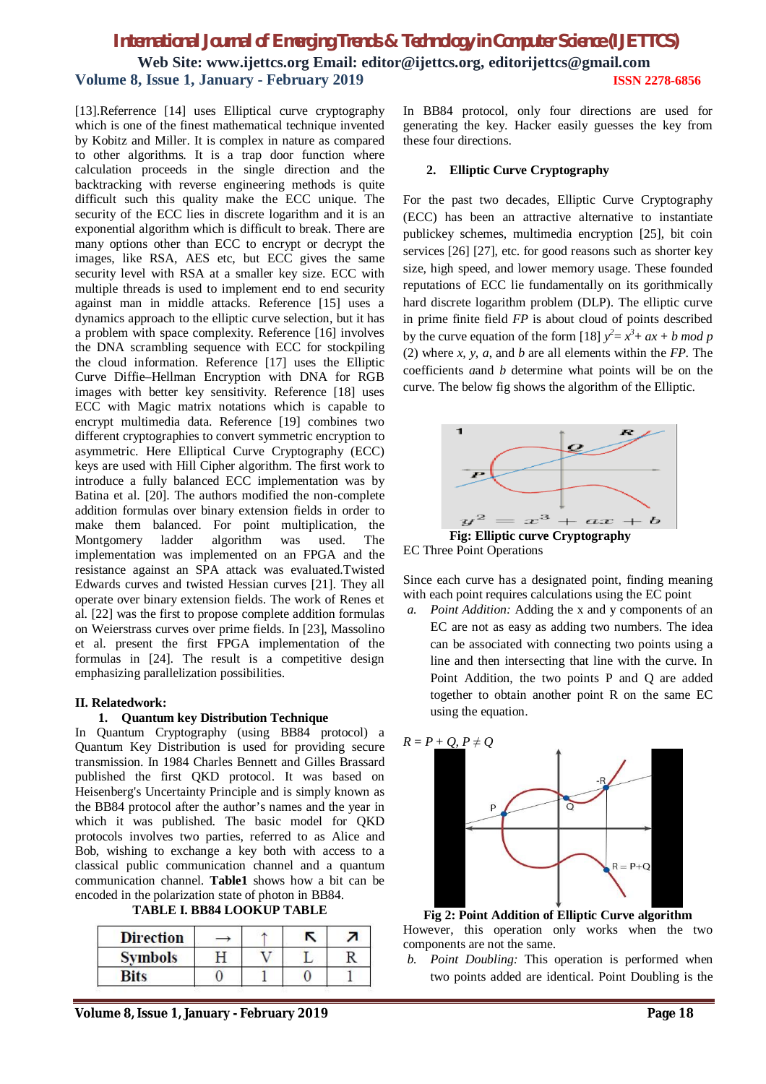# *International Journal of Emerging Trends & Technology in Computer Science (IJETTCS)* **Web Site: www.ijettcs.org Email: editor@ijettcs.org, editorijettcs@gmail.com Volume 8, Issue 1, January - February 2019 ISSN 2278-6856**

[13].Referrence [14] uses Elliptical curve cryptography which is one of the finest mathematical technique invented by Kobitz and Miller. It is complex in nature as compared to other algorithms. It is a trap door function where calculation proceeds in the single direction and the backtracking with reverse engineering methods is quite difficult such this quality make the ECC unique. The security of the ECC lies in discrete logarithm and it is an exponential algorithm which is difficult to break. There are many options other than ECC to encrypt or decrypt the images, like RSA, AES etc, but ECC gives the same security level with RSA at a smaller key size. ECC with multiple threads is used to implement end to end security against man in middle attacks. Reference [15] uses a dynamics approach to the elliptic curve selection, but it has a problem with space complexity. Reference [16] involves the DNA scrambling sequence with ECC for stockpiling the cloud information. Reference [17] uses the Elliptic Curve Diffie–Hellman Encryption with DNA for RGB images with better key sensitivity. Reference [18] uses ECC with Magic matrix notations which is capable to encrypt multimedia data. Reference [19] combines two different cryptographies to convert symmetric encryption to asymmetric. Here Elliptical Curve Cryptography (ECC) keys are used with Hill Cipher algorithm. The first work to introduce a fully balanced ECC implementation was by Batina et al. [20]. The authors modified the non-complete addition formulas over binary extension fields in order to make them balanced. For point multiplication, the Montgomery ladder algorithm was used. The implementation was implemented on an FPGA and the resistance against an SPA attack was evaluated.Twisted Edwards curves and twisted Hessian curves [21]. They all operate over binary extension fields. The work of Renes et al. [22] was the first to propose complete addition formulas on Weierstrass curves over prime fields. In [23], Massolino et al. present the first FPGA implementation of the formulas in [24]. The result is a competitive design emphasizing parallelization possibilities.

#### **II. Relatedwork:**

#### **1. Quantum key Distribution Technique**

In Quantum Cryptography (using BB84 protocol) a Quantum Key Distribution is used for providing secure transmission. In 1984 Charles Bennett and Gilles Brassard published the first QKD protocol. It was based on Heisenberg's Uncertainty Principle and is simply known as the BB84 protocol after the author's names and the year in which it was published. The basic model for QKD protocols involves two parties, referred to as Alice and Bob, wishing to exchange a key both with access to a classical public communication channel and a quantum communication channel. **Table1** shows how a bit can be encoded in the polarization state of photon in BB84.

**TABLE I. BB84 LOOKUP TABLE**

| <b>Direction</b> |  |  |
|------------------|--|--|
| <b>Symbols</b>   |  |  |
|                  |  |  |

**Volume 8, Issue 1, January - February 2019 Page 18**

In BB84 protocol, only four directions are used for generating the key. Hacker easily guesses the key from these four directions.

#### **2. Elliptic Curve Cryptography**

For the past two decades, Elliptic Curve Cryptography (ECC) has been an attractive alternative to instantiate publickey schemes, multimedia encryption [25], bit coin services [26] [27], etc. for good reasons such as shorter key size, high speed, and lower memory usage. These founded reputations of ECC lie fundamentally on its gorithmically hard discrete logarithm problem (DLP). The elliptic curve in prime finite field *FP* is about cloud of points described by the curve equation of the form [18]  $y^2 = x^3 + ax + b \mod p$ (2) where *x, y, a*, and *b* are all elements within the *FP*. The coefficients *a*and *b* determine what points will be on the curve. The below fig shows the algorithm of the Elliptic.



**Fig: Elliptic curve Cryptography** EC Three Point Operations

Since each curve has a designated point, finding meaning with each point requires calculations using the EC point

*a. Point Addition:* Adding the x and y components of an EC are not as easy as adding two numbers. The idea can be associated with connecting two points using a line and then intersecting that line with the curve. In Point Addition, the two points P and Q are added together to obtain another point R on the same EC using the equation.



**Fig 2: Point Addition of Elliptic Curve algorithm** However, this operation only works when the two components are not the same.

*b. Point Doubling:* This operation is performed when two points added are identical. Point Doubling is the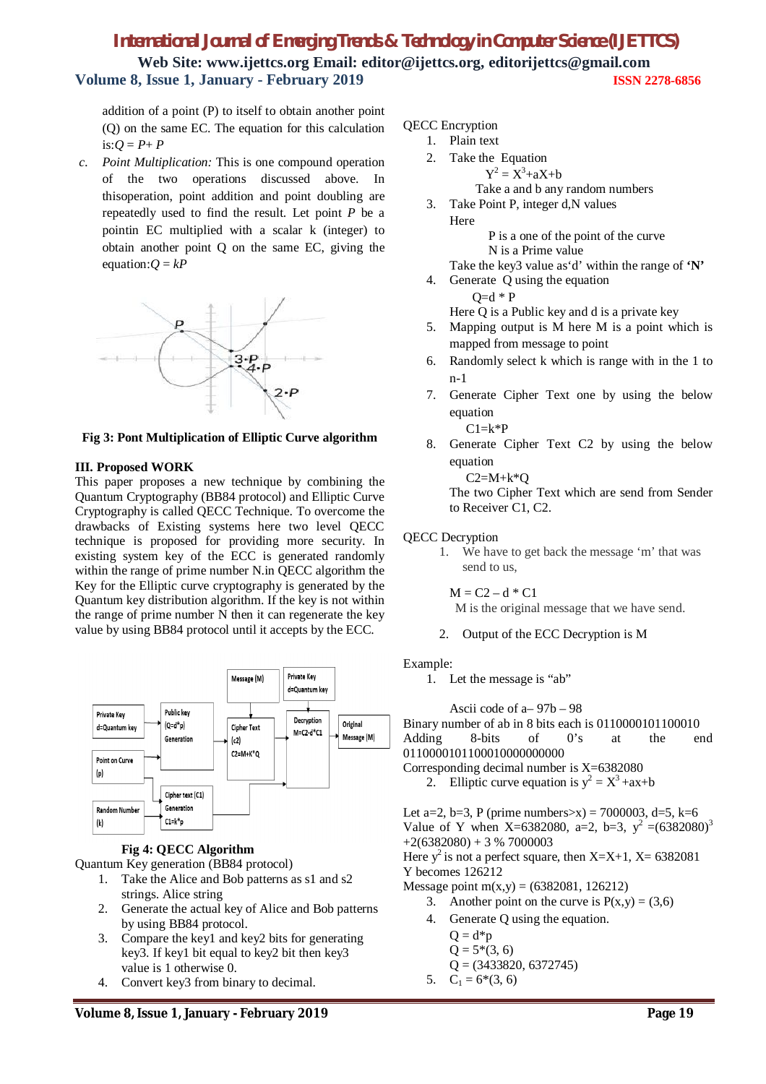# *International Journal of Emerging Trends & Technology in Computer Science (IJETTCS)* **Web Site: www.ijettcs.org Email: editor@ijettcs.org, editorijettcs@gmail.com Volume 8, Issue 1, January - February 2019 ISSN 2278-6856**

addition of a point (P) to itself to obtain another point (Q) on the same EC. The equation for this calculation is: $Q = P + P$ 

*c. Point Multiplication:* This is one compound operation of the two operations discussed above. In thisoperation, point addition and point doubling are repeatedly used to find the result. Let point *P* be a pointin EC multiplied with a scalar k (integer) to obtain another point Q on the same EC, giving the equation: $Q = kP$ 



**Fig 3: Pont Multiplication of Elliptic Curve algorithm**

#### **III. Proposed WORK**

This paper proposes a new technique by combining the Quantum Cryptography (BB84 protocol) and Elliptic Curve Cryptography is called QECC Technique. To overcome the drawbacks of Existing systems here two level QECC technique is proposed for providing more security. In existing system key of the ECC is generated randomly within the range of prime number N.in QECC algorithm the Key for the Elliptic curve cryptography is generated by the Quantum key distribution algorithm. If the key is not within the range of prime number N then it can regenerate the key value by using BB84 protocol until it accepts by the ECC.



#### **Fig 4: QECC Algorithm**

Quantum Key generation (BB84 protocol)

- 1. Take the Alice and Bob patterns as s1 and s2 strings. Alice string
- 2. Generate the actual key of Alice and Bob patterns by using BB84 protocol.
- 3. Compare the key1 and key2 bits for generating key3. If key1 bit equal to key2 bit then key3 value is 1 otherwise 0.
- 4. Convert key3 from binary to decimal.

### QECC Encryption

- 1. Plain text
- 2. Take the Equation  $Y^2 = X^3 + aX + b$ Take a and b any random numbers
- 3. Take Point P, integer d,N values Here

 P is a one of the point of the curve N is a Prime value

- Take the key3 value as'd' within the range of **'N'**
- 4. Generate Q using the equation

 $Q= d * P$ 

Here Q is a Public key and d is a private key

- 5. Mapping output is M here M is a point which is mapped from message to point
- 6. Randomly select k which is range with in the 1 to n-1
- 7. Generate Cipher Text one by using the below equation

 $C1=k*P$ 

8. Generate Cipher Text C2 by using the below equation

 $C2=M+k*O$ 

The two Cipher Text which are send from Sender to Receiver C1, C2.

#### QECC Decryption

1. We have to get back the message 'm' that was send to us,

 $M = C2 - d * C1$ 

- M is the original message that we have send.
- 2. Output of the ECC Decryption is M

#### Example:

1. Let the message is "ab"

Ascii code of a– 97b – 98 Binary number of ab in 8 bits each is 0110000101100010<br>Adding 8-bits of 0's at the en Adding 8-bits of 0's at the end 0110000101100010000000000 Corresponding decimal number is X=6382080

2. Elliptic curve equation is  $y^2 = X^3 + ax + b$ 

Let a=2, b=3, P (prime numbers>x) = 7000003, d=5, k=6 Value of Y when X=6382080, a=2, b=3,  $v^2 = (6382080)^3$  $+2(6382080) + 3 %7000003$ Here  $y^2$  is not a perfect square, then X=X+1, X= 6382081

Y becomes 126212

Message point m(x,y) =  $(6382081, 126212)$ 

- 3. Another point on the curve is  $P(x,y) = (3,6)$
- 4. Generate Q using the equation.
	- $Q = d*p$  $Q = 5*(3, 6)$  $Q = (3433820, 6372745)$
- 5.  $C_1 = 6*(3, 6)$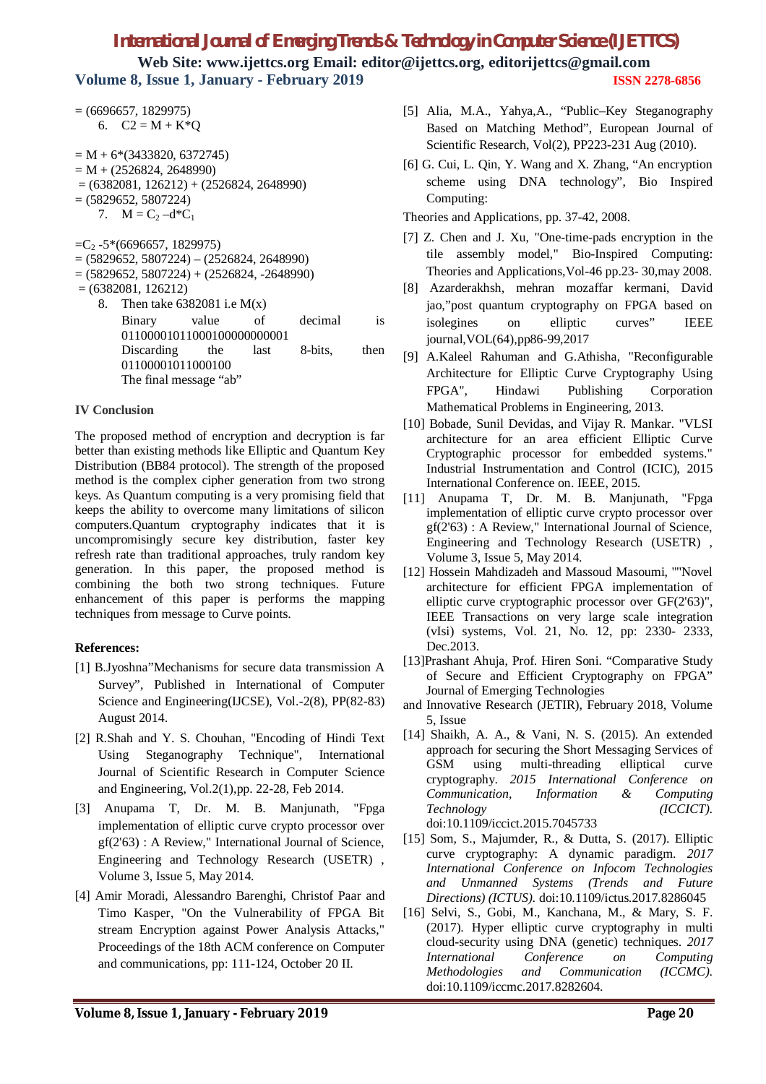## *International Journal of Emerging Trends & Technology in Computer Science (IJETTCS)*

**Web Site: www.ijettcs.org Email: editor@ijettcs.org, editorijettcs@gmail.com Volume 8, Issue 1, January - February 2019 ISSN 2278-6856**

 $= (6696657, 1829975)$ 6.  $C2 = M + K^*Q$ 

 $= M + 6*(3433820, 6372745)$  $= M + (2526824, 2648990)$  $= (6382081, 126212) + (2526824, 2648990)$  $= (5829652, 5807224)$ 7.  $M = C_2 - d^*C_1$ 

 $=C_2 -5*(6696657, 1829975)$ 

- $= (5829652, 5807224) (2526824, 2648990)$
- $= (5829652, 5807224) + (2526824, -2648990)$

= (6382081, 126212)

8. Then take 6382081 i.e M(x) Binary value of decimal is 01100001011000100000000001 Discarding the last 8-bits, then 01100001011000100 The final message "ab"

#### **IV Conclusion**

The proposed method of encryption and decryption is far better than existing methods like Elliptic and Quantum Key Distribution (BB84 protocol). The strength of the proposed method is the complex cipher generation from two strong keys. As Quantum computing is a very promising field that keeps the ability to overcome many limitations of silicon computers.Quantum cryptography indicates that it is uncompromisingly secure key distribution, faster key refresh rate than traditional approaches, truly random key generation. In this paper, the proposed method is combining the both two strong techniques. Future enhancement of this paper is performs the mapping techniques from message to Curve points.

#### **References:**

- [1] B.Jyoshna"Mechanisms for secure data transmission A Survey", Published in International of Computer Science and Engineering(IJCSE), Vol.-2(8), PP(82-83) August 2014.
- [2] R.Shah and Y. S. Chouhan, "Encoding of Hindi Text Using Steganography Technique", International Journal of Scientific Research in Computer Science and Engineering, Vol.2(1),pp. 22-28, Feb 2014.
- [3] Anupama T, Dr. M. B. Manjunath, "Fpga implementation of elliptic curve crypto processor over gf(2'63) : A Review," International Journal of Science, Engineering and Technology Research (USETR) , Volume 3, Issue 5, May 2014.
- [4] Amir Moradi, Alessandro Barenghi, Christof Paar and Timo Kasper, "On the Vulnerability of FPGA Bit stream Encryption against Power Analysis Attacks," Proceedings of the 18th ACM conference on Computer and communications, pp: 111-124, October 20 II.
- [5] Alia, M.A., Yahya,A., "Public–Key Steganography Based on Matching Method", European Journal of Scientific Research, Vol(2), PP223-231 Aug (2010).
- [6] G. Cui, L. Qin, Y. Wang and X. Zhang, "An encryption scheme using DNA technology", Bio Inspired Computing:

Theories and Applications, pp. 37-42, 2008.

- [7] Z. Chen and J. Xu, "One-time-pads encryption in the tile assembly model," Bio-Inspired Computing: Theories and Applications,Vol-46 pp.23- 30,may 2008.
- [8] Azarderakhsh, mehran mozaffar kermani, David jao,"post quantum cryptography on FPGA based on isolegines on elliptic curves" IEEE journal,VOL(64),pp86-99,2017
- [9] A.Kaleel Rahuman and G.Athisha, "Reconfigurable Architecture for Elliptic Curve Cryptography Using FPGA", Hindawi Publishing Corporation Mathematical Problems in Engineering, 2013.
- [10] Bobade, Sunil Devidas, and Vijay R. Mankar. "VLSI architecture for an area efficient Elliptic Curve Cryptographic processor for embedded systems." Industrial Instrumentation and Control (ICIC), 2015 International Conference on. IEEE, 2015.
- [11] Anupama T, Dr. M. B. Manjunath, "Fpga implementation of elliptic curve crypto processor over gf(2'63) : A Review," International Journal of Science, Engineering and Technology Research (USETR) , Volume 3, Issue 5, May 2014.
- [12] Hossein Mahdizadeh and Massoud Masoumi, ''''Novel architecture for efficient FPGA implementation of elliptic curve cryptographic processor over GF(2'63)", IEEE Transactions on very large scale integration (vIsi) systems, Vol. 21, No. 12, pp: 2330- 2333, Dec.2013.
- [13]Prashant Ahuja, Prof. Hiren Soni. "Comparative Study of Secure and Efficient Cryptography on FPGA" Journal of Emerging Technologies
- and Innovative Research (JETIR), February 2018, Volume 5, Issue
- [14] Shaikh, A. A., & Vani, N. S. (2015). An extended approach for securing the Short Messaging Services of GSM using multi-threading elliptical curve cryptography. *2015 International Conference on Communication, Information & Computing Technology (ICCICT)*. doi:10.1109/iccict.2015.7045733
- [15] Som, S., Majumder, R., & Dutta, S. (2017). Elliptic curve cryptography: A dynamic paradigm. *2017 International Conference on Infocom Technologies and Unmanned Systems (Trends and Future Directions) (ICTUS)*. doi:10.1109/ictus.2017.8286045
- [16] Selvi, S., Gobi, M., Kanchana, M., & Mary, S. F. (2017). Hyper elliptic curve cryptography in multi cloud-security using DNA (genetic) techniques. *2017 International Conference on Computing Methodologies and Communication (ICCMC)*. doi:10.1109/iccmc.2017.8282604.